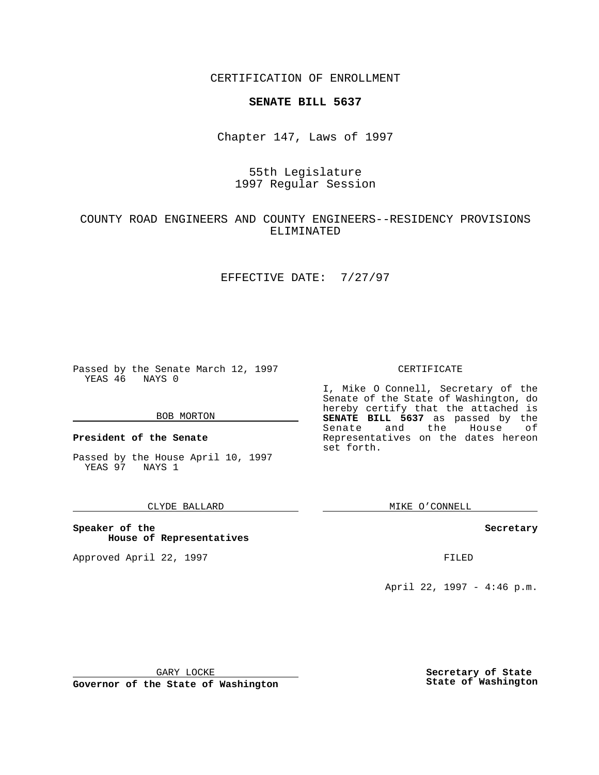CERTIFICATION OF ENROLLMENT

## **SENATE BILL 5637**

Chapter 147, Laws of 1997

# 55th Legislature 1997 Regular Session

## COUNTY ROAD ENGINEERS AND COUNTY ENGINEERS--RESIDENCY PROVISIONS ELIMINATED

### EFFECTIVE DATE: 7/27/97

Passed by the Senate March 12, 1997 YEAS 46 NAYS 0

#### BOB MORTON

**President of the Senate**

Passed by the House April 10, 1997 YEAS 97 NAYS 1

### CLYDE BALLARD

**Speaker of the House of Representatives**

Approved April 22, 1997 **FILED** 

#### CERTIFICATE

I, Mike O Connell, Secretary of the Senate of the State of Washington, do hereby certify that the attached is **SENATE BILL 5637** as passed by the Senate and the House of Representatives on the dates hereon set forth.

MIKE O'CONNELL

#### **Secretary**

April 22, 1997 - 4:46 p.m.

GARY LOCKE

**Governor of the State of Washington**

**Secretary of State State of Washington**